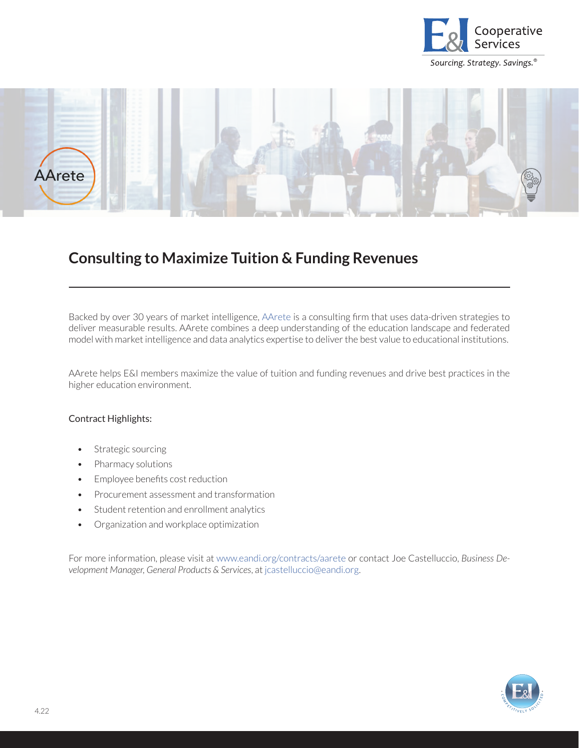



## **Consulting to Maximize Tuition & Funding Revenues**

Backed by over 30 years of market intelligence, [AArete](http://www.eandi.org/contracts/aarete/) is a consulting firm that uses data-driven strategies to deliver measurable results. AArete combines a deep understanding of the education landscape and federated model with market intelligence and data analytics expertise to deliver the best value to educational institutions.

AArete helps E&I members maximize the value of tuition and funding revenues and drive best practices in the higher education environment.

## Contract Highlights:

- Strategic sourcing
- Pharmacy solutions
- Employee benefits cost reduction
- Procurement assessment and transformation
- Student retention and enrollment analytics
- Organization and workplace optimization

For more information, please visit at [www.eandi.org/contracts/aarete](http://www.eandi.org/contracts/aarete) or contact Joe Castelluccio, *Business Development Manager, General Products & Services*, at [jcastelluccio@eandi.org.](mailto:jcastelluccio%40eandi.org?subject=)